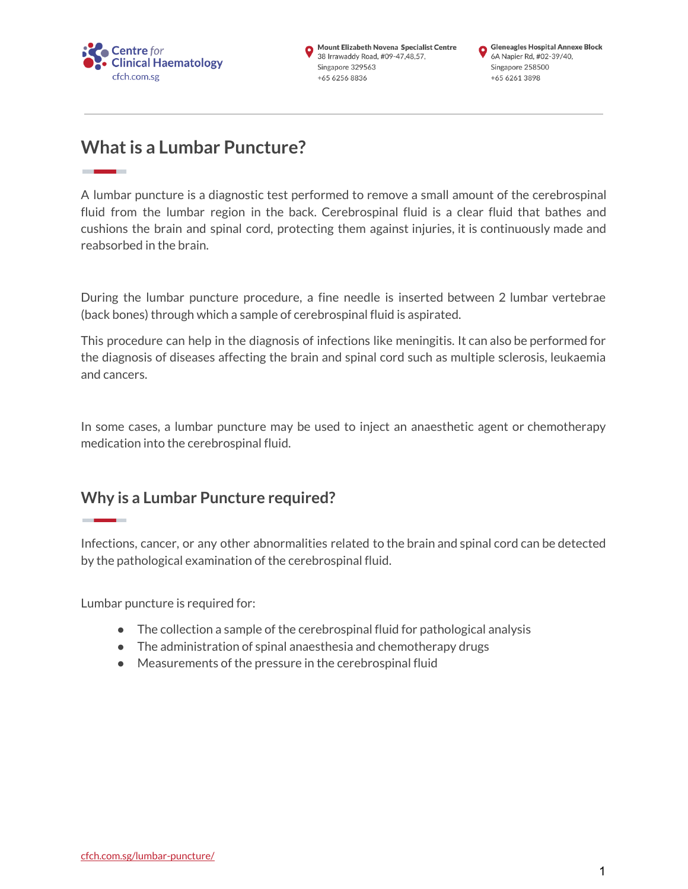

# **Whatis a Lumbar Puncture?**

A lumbar puncture is a diagnostic test performed to remove a small amount of the cerebrospinal fluid from the lumbar region in the back. Cerebrospinal fluid is a clear fluid that bathes and cushions the brain and spinal cord, protecting them against injuries, it is continuously made and reabsorbed in the brain.

During the lumbar puncture procedure, a fine needle is inserted between 2 lumbar vertebrae (back bones) through which a sample of cerebrospinal fluid is aspirated.

This procedure can help in the diagnosis of infections like meningitis. It can also be performed for the diagnosis of diseases affecting the brain and spinal cord such as multiple sclerosis, leukaemia and cancers.

In some cases, a lumbar puncture may be used to inject an anaesthetic agent or chemotherapy medication into the cerebrospinal fluid.

## **Why is a Lumbar Puncture required?**

Infections, cancer, or any other abnormalities related to the brain and spinal cord can be detected by the pathological examination of the cerebrospinal fluid.

Lumbar puncture is required for:

- The collection a sample of the cerebrospinal fluid for pathological analysis
- The administration of spinal anaesthesia and chemotherapy drugs
- Measurements of the pressure in the cerebrospinal fluid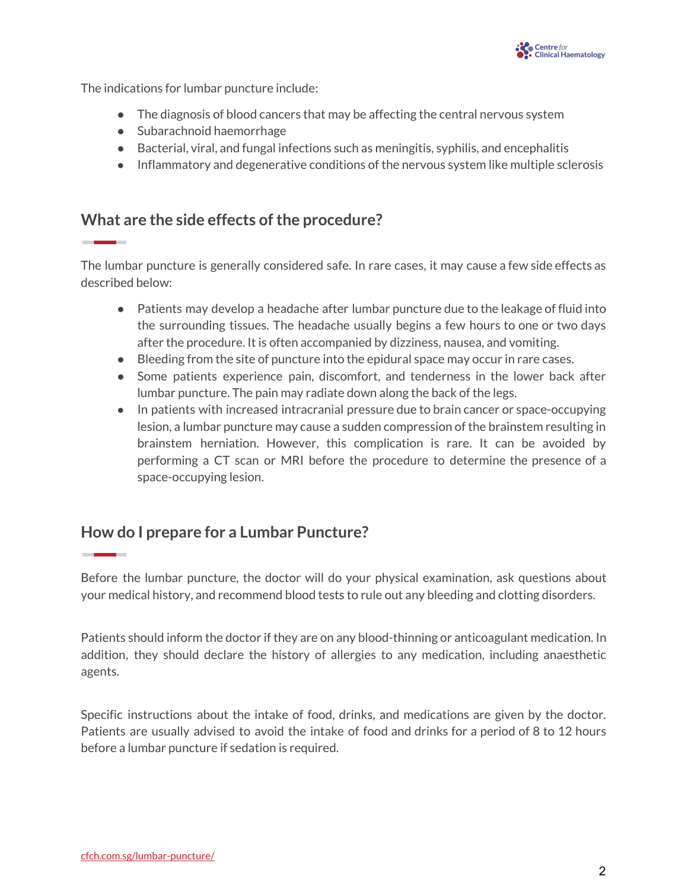

The indications for lumbar puncture include:

- The diagnosis of blood cancers that may be affecting the central nervous system
- Subarachnoid haemorrhage
- Bacterial, viral, and fungal infections such as meningitis, syphilis, and encephalitis
- **●** Inflammatory and degenerative conditions of the nervous system like multiple sclerosis

### **What** are the side effects of the procedure?

The lumbar puncture is generally considered safe. In rare cases, it may cause a few side effects as described below:

- Patients may develop a headache after lumbar puncture due to the leakage of fluid into the surrounding tissues. The headache usually begins a few hours to one or two days after the procedure. It is often accompanied by dizziness, nausea, and vomiting.
- Bleeding from the site of puncture into the epidural space may occur in rare cases.
- Some patients experience pain, discomfort, and tenderness in the lower back after lumbar puncture. The pain may radiate down along the back of the legs.
- **●** In patients with increased intracranial pressure due to brain cancer or space-occupying lesion, a lumbar puncture may cause a sudden compression of the brainstem resulting in brainstem herniation. However, this complication is rare. It can be avoided by performing a CT scan or MRI before the procedure to determine the presence of a space-occupying lesion.

## **How do I prepare for a Lumbar Puncture?**

Before the lumbar puncture, the doctor will do your physical examination, ask questions about your medical history, and recommend blood tests to rule out any bleeding and clotting disorders.

Patients should inform the doctor if they are on any blood-thinning or anticoagulant medication. In addition, they should declare the history of allergies to any medication, including anaesthetic agents.

Specific instructions about the intake of food, drinks, and medications are given by the doctor. Patients are usually advised to avoid the intake of food and drinks for a period of 8 to 12 hours before a lumbar puncture if sedation is required.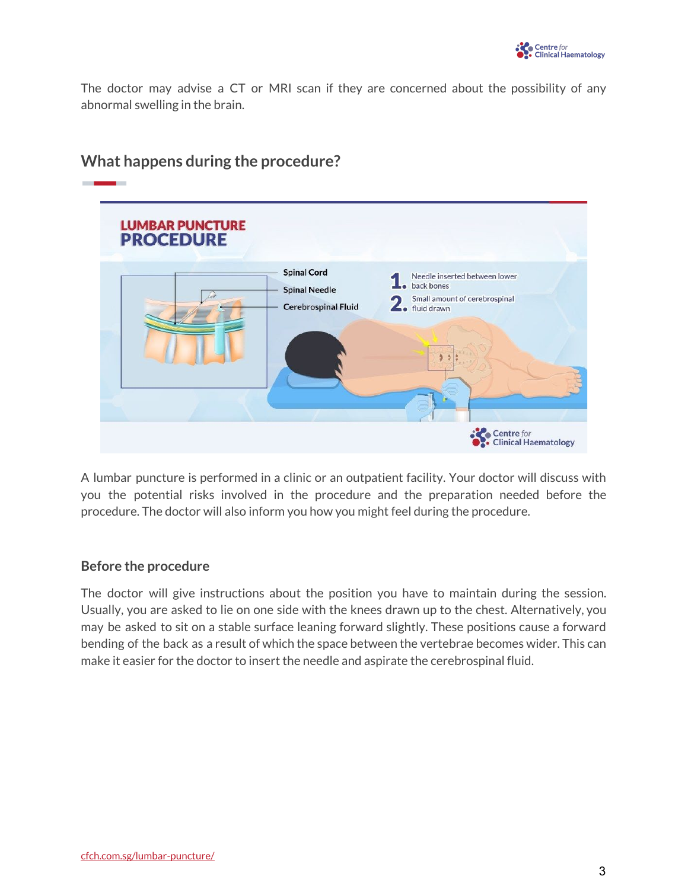The doctor may advise a CT or MRI scan if they are concerned about the possibility of any abnormal swelling in the brain.



## **What happens during the procedure?**

A lumbar puncture is performed in a clinic or an outpatient facility. Your doctor will discuss with you the potential risks involved in the procedure and the preparation needed before the procedure. The doctor will also inform you how you might feel during the procedure.

#### **Before the procedure**

The doctor will give instructions about the position you have to maintain during the session. Usually, you are asked to lie on one side with the knees drawn up to the chest. Alternatively, you may be asked to sit on a stable surface leaning forward slightly. These positions cause a forward bending of the back as a result of which the space between the vertebrae becomes wider. This can make it easier for the doctor to insert the needle and aspirate the cerebrospinal fluid.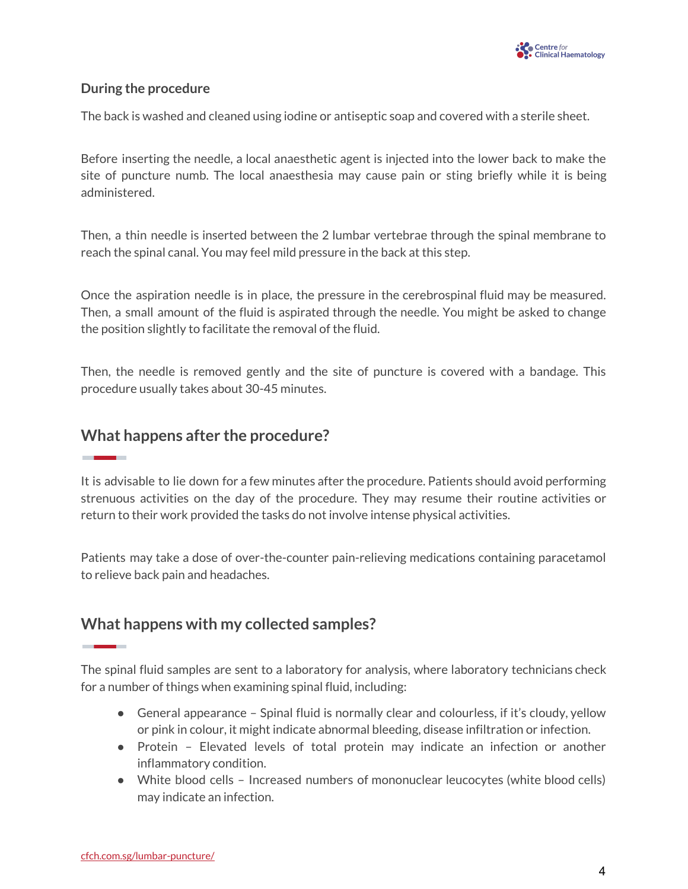

#### **During the procedure**

The back is washed and cleaned using iodine or antiseptic soap and covered with a sterile sheet.

Before inserting the needle, a local anaesthetic agent is injected into the lower back to make the site of puncture numb. The local anaesthesia may cause pain or sting briefly while it is being administered.

Then, a thin needle is inserted between the 2 lumbar vertebrae through the spinal membrane to reach the spinal canal. You may feel mild pressure in the back at this step.

Once the aspiration needle is in place, the pressure in the cerebrospinal fluid may be measured. Then, a small amount of the fluid is aspirated through the needle. You might be asked to change the position slightly to facilitate the removal of the fluid.

Then, the needle is removed gently and the site of puncture is covered with a bandage. This procedure usually takes about 30-45 minutes.

#### **What happens after the procedure?**

It is advisable to lie down for a few minutes after the procedure. Patients should avoid performing strenuous activities on the day of the procedure. They may resume their routine activities or return to their work provided the tasks do not involve intense physical activities.

Patients may take a dose of over-the-counter pain-relieving medications containing paracetamol to relieve back pain and headaches.

### **What happens with my collected samples?**

The spinal fluid samples are sent to a laboratory for analysis, where laboratory technicians check for a number of things when examining spinal fluid, including:

- General appearance Spinal fluid is normally clear and colourless, if it's cloudy, yellow or pink in colour, it might indicate abnormal bleeding, disease infiltration or infection.
- Protein Elevated levels of total protein may indicate an infection or another inflammatory condition.
- White blood cells Increased numbers of mononuclear leucocytes (white blood cells) may indicate an infection.